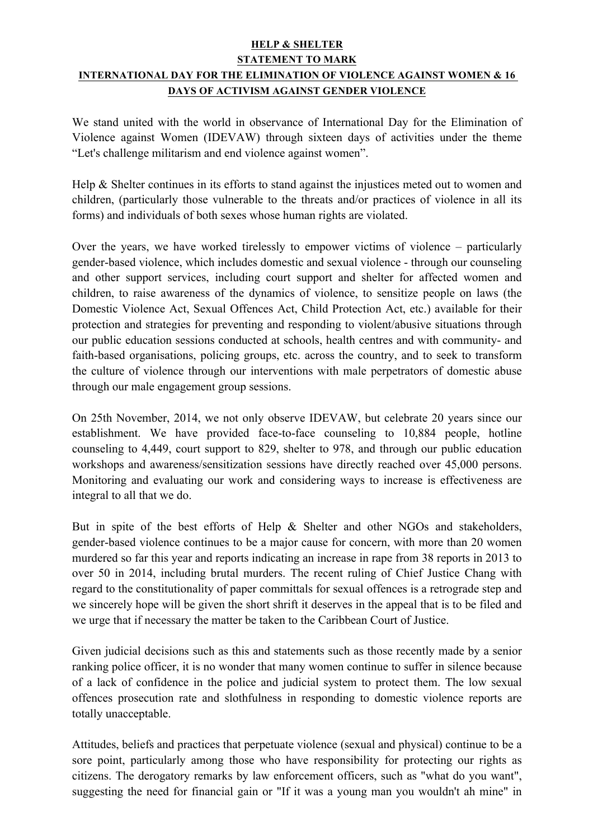## **HELP & SHELTER**

## **STATEMENT TO MARK INTERNATIONAL DAY FOR THE ELIMINATION OF VIOLENCE AGAINST WOMEN & 16 DAYS OF ACTIVISM AGAINST GENDER VIOLENCE**

We stand united with the world in observance of International Day for the Elimination of Violence against Women (IDEVAW) through sixteen days of activities under the theme "Let's challenge militarism and end violence against women".

Help & Shelter continues in its efforts to stand against the injustices meted out to women and children, (particularly those vulnerable to the threats and/or practices of violence in all its forms) and individuals of both sexes whose human rights are violated.

Over the years, we have worked tirelessly to empower victims of violence – particularly gender-based violence, which includes domestic and sexual violence - through our counseling and other support services, including court support and shelter for affected women and children, to raise awareness of the dynamics of violence, to sensitize people on laws (the Domestic Violence Act, Sexual Offences Act, Child Protection Act, etc.) available for their protection and strategies for preventing and responding to violent/abusive situations through our public education sessions conducted at schools, health centres and with community- and faith-based organisations, policing groups, etc. across the country, and to seek to transform the culture of violence through our interventions with male perpetrators of domestic abuse through our male engagement group sessions.

On 25th November, 2014, we not only observe IDEVAW, but celebrate 20 years since our establishment. We have provided face-to-face counseling to 10,884 people, hotline counseling to 4,449, court support to 829, shelter to 978, and through our public education workshops and awareness/sensitization sessions have directly reached over 45,000 persons. Monitoring and evaluating our work and considering ways to increase is effectiveness are integral to all that we do.

But in spite of the best efforts of Help & Shelter and other NGOs and stakeholders, gender-based violence continues to be a major cause for concern, with more than 20 women murdered so far this year and reports indicating an increase in rape from 38 reports in 2013 to over 50 in 2014, including brutal murders. The recent ruling of Chief Justice Chang with regard to the constitutionality of paper committals for sexual offences is a retrograde step and we sincerely hope will be given the short shrift it deserves in the appeal that is to be filed and we urge that if necessary the matter be taken to the Caribbean Court of Justice.

Given judicial decisions such as this and statements such as those recently made by a senior ranking police officer, it is no wonder that many women continue to suffer in silence because of a lack of confidence in the police and judicial system to protect them. The low sexual offences prosecution rate and slothfulness in responding to domestic violence reports are totally unacceptable.

Attitudes, beliefs and practices that perpetuate violence (sexual and physical) continue to be a sore point, particularly among those who have responsibility for protecting our rights as citizens. The derogatory remarks by law enforcement officers, such as "what do you want", suggesting the need for financial gain or "If it was a young man you wouldn't ah mine" in